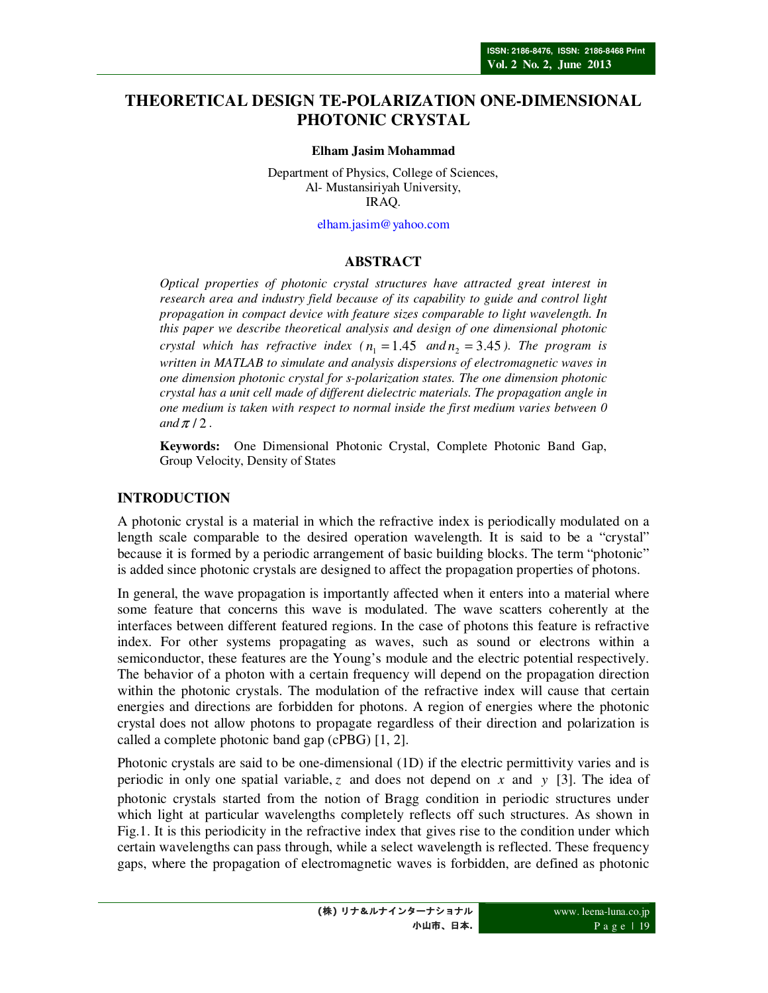# **THEORETICAL DESIGN TE-POLARIZATION ONE-DIMENSIONAL PHOTONIC CRYSTAL**

#### **Elham Jasim Mohammad**

Department of Physics, College of Sciences, Al- Mustansiriyah University, IRAQ.

elham.jasim@yahoo.com

#### **ABSTRACT**

*Optical properties of photonic crystal structures have attracted great interest in research area and industry field because of its capability to guide and control light propagation in compact device with feature sizes comparable to light wavelength. In this paper we describe theoretical analysis and design of one dimensional photonic crystal which has refractive index (* $n_1 = 1.45$  *and* $n_2 = 3.45$ ). The program is *written in MATLAB to simulate and analysis dispersions of electromagnetic waves in one dimension photonic crystal for s-polarization states. The one dimension photonic crystal has a unit cell made of different dielectric materials. The propagation angle in one medium is taken with respect to normal inside the first medium varies between 0 and*  $\pi/2$ .

**Keywords:** One Dimensional Photonic Crystal, Complete Photonic Band Gap, Group Velocity, Density of States

#### **INTRODUCTION**

A photonic crystal is a material in which the refractive index is periodically modulated on a length scale comparable to the desired operation wavelength. It is said to be a "crystal" because it is formed by a periodic arrangement of basic building blocks. The term "photonic" is added since photonic crystals are designed to affect the propagation properties of photons.

In general, the wave propagation is importantly affected when it enters into a material where some feature that concerns this wave is modulated. The wave scatters coherently at the interfaces between different featured regions. In the case of photons this feature is refractive index. For other systems propagating as waves, such as sound or electrons within a semiconductor, these features are the Young's module and the electric potential respectively. The behavior of a photon with a certain frequency will depend on the propagation direction within the photonic crystals. The modulation of the refractive index will cause that certain energies and directions are forbidden for photons. A region of energies where the photonic crystal does not allow photons to propagate regardless of their direction and polarization is called a complete photonic band gap (cPBG) [1, 2].

Photonic crystals are said to be one-dimensional (1D) if the electric permittivity varies and is periodic in only one spatial variable, *z* and does not depend on *x* and *y* [3]. The idea of photonic crystals started from the notion of Bragg condition in periodic structures under which light at particular wavelengths completely reflects off such structures. As shown in Fig.1. It is this periodicity in the refractive index that gives rise to the condition under which certain wavelengths can pass through, while a select wavelength is reflected. These frequency gaps, where the propagation of electromagnetic waves is forbidden, are defined as photonic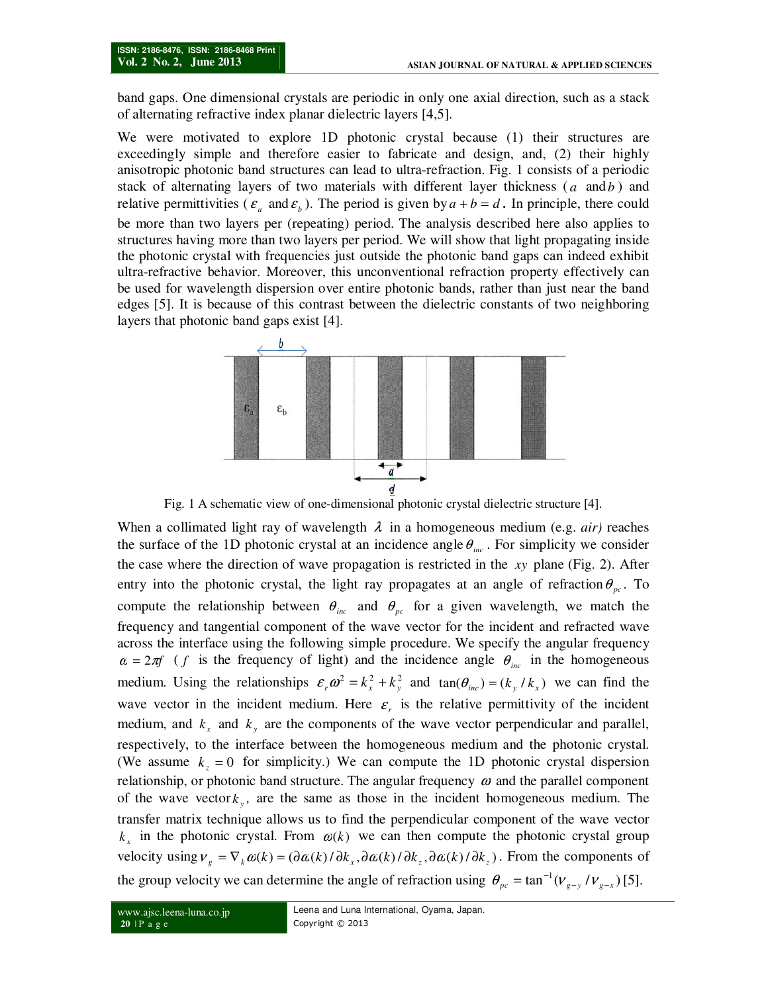band gaps. One dimensional crystals are periodic in only one axial direction, such as a stack of alternating refractive index planar dielectric layers [4,5].

We were motivated to explore 1D photonic crystal because (1) their structures are exceedingly simple and therefore easier to fabricate and design, and, (2) their highly anisotropic photonic band structures can lead to ultra-refraction. Fig. 1 consists of a periodic stack of alternating layers of two materials with different layer thickness  $(a \text{ and } b)$  and relative permittivities ( $\varepsilon_a$  and  $\varepsilon_b$ ). The period is given by  $a + b = d$ . In principle, there could be more than two layers per (repeating) period. The analysis described here also applies to structures having more than two layers per period. We will show that light propagating inside the photonic crystal with frequencies just outside the photonic band gaps can indeed exhibit ultra-refractive behavior. Moreover, this unconventional refraction property effectively can be used for wavelength dispersion over entire photonic bands, rather than just near the band edges [5]. It is because of this contrast between the dielectric constants of two neighboring layers that photonic band gaps exist [4].



Fig. 1 A schematic view of one-dimensional photonic crystal dielectric structure [4].

When a collimated light ray of wavelength  $\lambda$  in a homogeneous medium (e.g. *air*) reaches the surface of the 1D photonic crystal at an incidence angle  $\theta_{inc}$ . For simplicity we consider the case where the direction of wave propagation is restricted in the *xy* plane (Fig. 2). After entry into the photonic crystal, the light ray propagates at an angle of refraction  $\theta_{pc}$ . To compute the relationship between  $\theta_{inc}$  and  $\theta_{pc}$  for a given wavelength, we match the frequency and tangential component of the wave vector for the incident and refracted wave across the interface using the following simple procedure. We specify the angular frequency  $\alpha = 2\pi f$  (*f* is the frequency of light) and the incidence angle  $\theta_{inc}$  in the homogeneous medium. Using the relationships  $\varepsilon_r \omega^2 = k_x^2 + k_y^2$  and  $\tan(\theta_{inc}) = (k_y / k_x)$  we can find the wave vector in the incident medium. Here  $\varepsilon$ , is the relative permittivity of the incident medium, and  $k_x$  and  $k_y$  are the components of the wave vector perpendicular and parallel, respectively, to the interface between the homogeneous medium and the photonic crystal. (We assume  $k_z = 0$  for simplicity.) We can compute the 1D photonic crystal dispersion relationship, or photonic band structure. The angular frequency  $\omega$  and the parallel component of the wave vector  $k_y$ , are the same as those in the incident homogeneous medium. The transfer matrix technique allows us to find the perpendicular component of the wave vector  $k_x$  in the photonic crystal. From  $\alpha(k)$  we can then compute the photonic crystal group velocity using  $v_g = \nabla_k \omega(k) = (\partial \omega(k) / \partial k_x, \partial \omega(k) / \partial k_z, \partial \omega(k) / \partial k_z)$ . From the components of the group velocity we can determine the angle of refraction using  $\theta_{pc} = \tan^{-1}(v_{g-y} / v_{g-x})$  [5].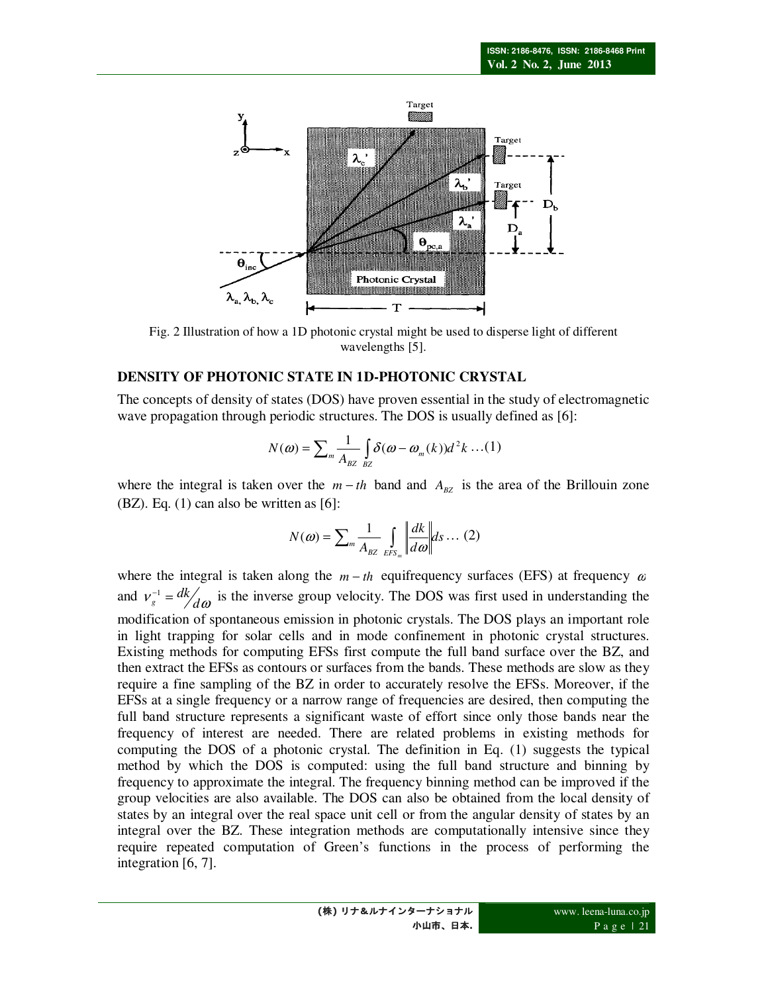

Fig. 2 Illustration of how a 1D photonic crystal might be used to disperse light of different wavelengths [5].

### **DENSITY OF PHOTONIC STATE IN 1D-PHOTONIC CRYSTAL**

The concepts of density of states (DOS) have proven essential in the study of electromagnetic wave propagation through periodic structures. The DOS is usually defined as [6]:

$$
N(\omega) = \sum_{m} \frac{1}{A_{BZ}} \int_{BZ} \delta(\omega - \omega_m(k)) d^2 k \dots (1)
$$

where the integral is taken over the  $m - th$  band and  $A_{BZ}$  is the area of the Brillouin zone  $(BZ)$ . Eq.  $(1)$  can also be written as  $[6]$ :

$$
N(\omega) = \sum_{m} \frac{1}{A_{BZ}} \int_{EFS_m} \left\| \frac{dk}{d\omega} \right\| ds \dots (2)
$$

where the integral is taken along the  $m - th$  equifrequency surfaces (EFS) at frequency  $\alpha$ and  $v_s^{-1} = \frac{dk}{d\omega}$  $d_g = dk/d\omega$  is the inverse group velocity. The DOS was first used in understanding the modification of spontaneous emission in photonic crystals. The DOS plays an important role in light trapping for solar cells and in mode confinement in photonic crystal structures. Existing methods for computing EFSs first compute the full band surface over the BZ, and then extract the EFSs as contours or surfaces from the bands. These methods are slow as they require a fine sampling of the BZ in order to accurately resolve the EFSs. Moreover, if the EFSs at a single frequency or a narrow range of frequencies are desired, then computing the full band structure represents a significant waste of effort since only those bands near the frequency of interest are needed. There are related problems in existing methods for computing the DOS of a photonic crystal. The definition in Eq. (1) suggests the typical method by which the DOS is computed: using the full band structure and binning by frequency to approximate the integral. The frequency binning method can be improved if the group velocities are also available. The DOS can also be obtained from the local density of states by an integral over the real space unit cell or from the angular density of states by an integral over the BZ. These integration methods are computationally intensive since they require repeated computation of Green's functions in the process of performing the integration [6, 7].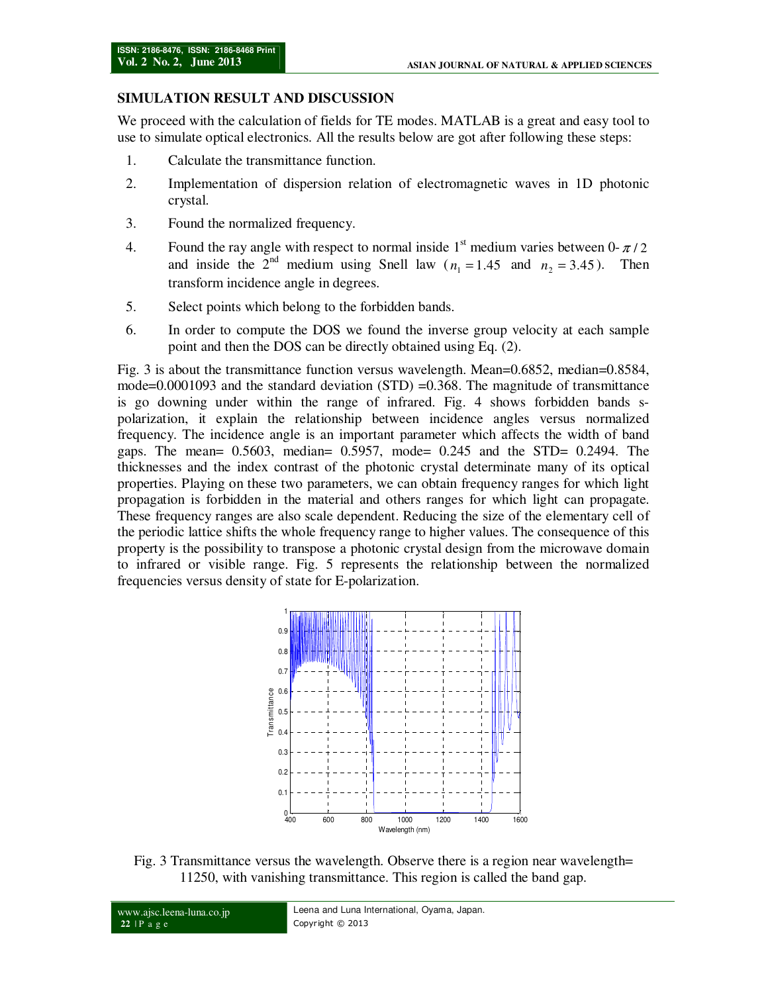# **SIMULATION RESULT AND DISCUSSION**

We proceed with the calculation of fields for TE modes. MATLAB is a great and easy tool to use to simulate optical electronics. All the results below are got after following these steps:

- 1. Calculate the transmittance function.
- 2. Implementation of dispersion relation of electromagnetic waves in 1D photonic crystal.
- 3. Found the normalized frequency.
- 4. Found the ray angle with respect to normal inside  $1<sup>st</sup>$  medium varies between 0- $\pi/2$ and inside the  $2^{nd}$  medium using Snell law ( $n_1 = 1.45$  and  $n_2 = 3.45$ ). Then transform incidence angle in degrees.
- 5. Select points which belong to the forbidden bands.
- 6. In order to compute the DOS we found the inverse group velocity at each sample point and then the DOS can be directly obtained using Eq. (2).

Fig. 3 is about the transmittance function versus wavelength. Mean=0.6852, median=0.8584, mode=0.0001093 and the standard deviation (STD) =0.368. The magnitude of transmittance is go downing under within the range of infrared. Fig. 4 shows forbidden bands spolarization, it explain the relationship between incidence angles versus normalized frequency. The incidence angle is an important parameter which affects the width of band gaps. The mean= 0.5603, median= 0.5957, mode= 0.245 and the STD= 0.2494. The thicknesses and the index contrast of the photonic crystal determinate many of its optical properties. Playing on these two parameters, we can obtain frequency ranges for which light propagation is forbidden in the material and others ranges for which light can propagate. These frequency ranges are also scale dependent. Reducing the size of the elementary cell of the periodic lattice shifts the whole frequency range to higher values. The consequence of this property is the possibility to transpose a photonic crystal design from the microwave domain to infrared or visible range. Fig. 5 represents the relationship between the normalized frequencies versus density of state for E-polarization.



Fig. 3 Transmittance versus the wavelength. Observe there is a region near wavelength= 11250, with vanishing transmittance. This region is called the band gap.

```
www.ajsc.leena-luna.co.jp 
22 | P a g e 
                                         Leena and Luna International, Oyama, Japan. 
                                         Copyright © 2013
```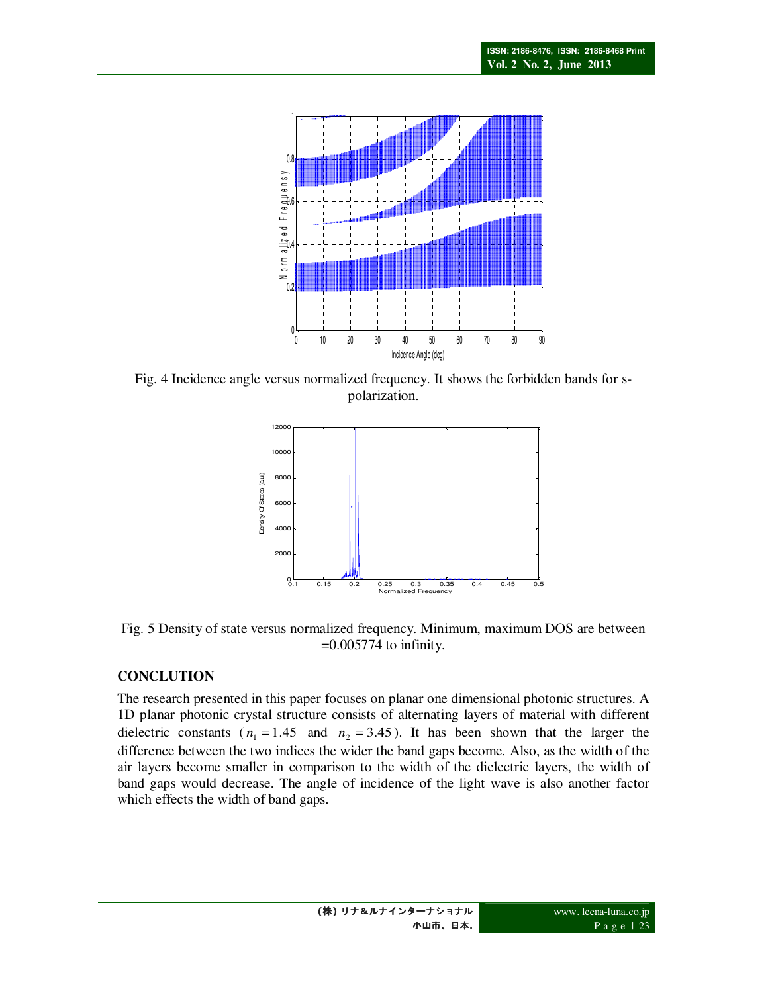

Fig. 4 Incidence angle versus normalized frequency. It shows the forbidden bands for spolarization.



Fig. 5 Density of state versus normalized frequency. Minimum, maximum DOS are between  $=0.005774$  to infinity.

## **CONCLUTION**

The research presented in this paper focuses on planar one dimensional photonic structures. A 1D planar photonic crystal structure consists of alternating layers of material with different dielectric constants ( $n_1 = 1.45$  and  $n_2 = 3.45$ ). It has been shown that the larger the difference between the two indices the wider the band gaps become. Also, as the width of the air layers become smaller in comparison to the width of the dielectric layers, the width of band gaps would decrease. The angle of incidence of the light wave is also another factor which effects the width of band gaps.